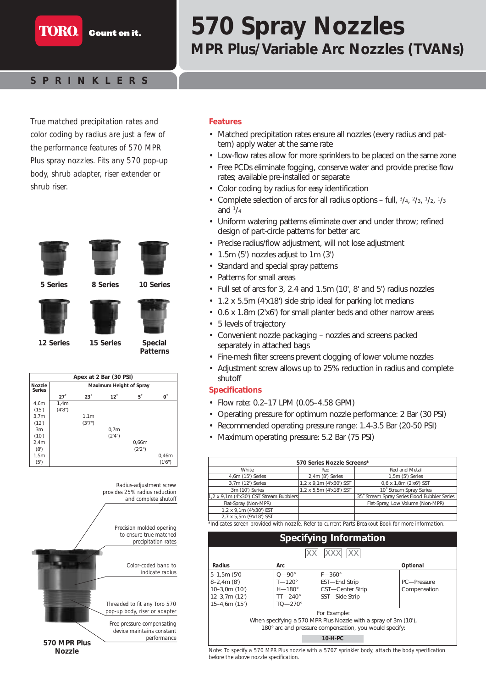

# **570 Spray Nozzles MPR Plus/Variable Arc Nozzles (TVANs)**

### **SPRINKLERS**

*True matched precipitation rates and color coding by radius are just a few of the performance features of 570 MPR Plus spray nozzles. Fits any 570 pop-up body, shrub adapter, riser extender or shrub riser.*





**5 Series**

**12 Series**

**8 Series**

**10 Series**



**15 Series**



**Special Patterns**

| Apex at 2 Bar (30 PSI)  |            |                         |                  |        |        |  |  |  |  |
|-------------------------|------------|-------------------------|------------------|--------|--------|--|--|--|--|
| Nozzle<br><b>Series</b> |            | Maximum Height of Spray |                  |        |        |  |  |  |  |
|                         | $27^\circ$ | $23^\circ$              | $12^{\circ}$     | 5.     | 0.     |  |  |  |  |
| 4,6m                    | 1,4m       |                         |                  |        |        |  |  |  |  |
| (15')                   | (4'8")     |                         |                  |        |        |  |  |  |  |
| 3,7m                    |            | 1,1m                    |                  |        |        |  |  |  |  |
| (12')                   |            | (3'7")                  |                  |        |        |  |  |  |  |
| 3m                      |            |                         | 0.7 <sub>m</sub> |        |        |  |  |  |  |
| (10')                   |            |                         | (2'4")           |        |        |  |  |  |  |
| 2,4m                    |            |                         |                  | 0,66m  |        |  |  |  |  |
| (8')                    |            |                         |                  | (2'2") |        |  |  |  |  |
| 1,5m                    |            |                         |                  |        | 0,46m  |  |  |  |  |
| (5')                    |            |                         |                  |        | (1'6") |  |  |  |  |



*pop-up body, riser or adapter*

*Free pressure-compensating device maintains constant performance*

**570 MPR Plus Nozzle**

### **Features**

- Matched precipitation rates ensure all nozzles (every radius and pattern) apply water at the same rate
- Low-flow rates allow for more sprinklers to be placed on the same zone
- Free PCDs eliminate fogging, conserve water and provide precise flow rates; available pre-installed or separate
- Color coding by radius for easy identification
- Complete selection of arcs for all radius options full,  $3/4$ ,  $2/3$ ,  $1/2$ ,  $1/3$ and  $\frac{1}{4}$
- Uniform watering patterns eliminate over and under throw; refined design of part-circle patterns for better arc
- Precise radius/flow adjustment, will not lose adjustment
- 1.5m (5') nozzles adjust to 1m (3')
- Standard and special spray patterns
- Patterns for small areas
- Full set of arcs for 3, 2.4 and 1.5m (10', 8' and 5') radius nozzles
- 1.2 x 5.5m (4'x18') side strip ideal for parking lot medians
- 0.6 x 1.8m (2'x6') for small planter beds and other narrow areas
- 5 levels of trajectory
- Convenient nozzle packaging nozzles and screens packed separately in attached bags
- Fine-mesh filter screens prevent clogging of lower volume nozzles
- Adjustment screw allows up to 25% reduction in radius and complete shutoff

#### **Specifications**

- Flow rate: 0.2–17 LPM (0.05–4.58 GPM)
- Operating pressure for optimum nozzle performance: 2 Bar (30 PSI)
- Recommended operating pressure range: 1.4-3.5 Bar (20-50 PSI)
- Maximum operating pressure: 5.2 Bar (75 PSI)

| 570 Series Nozzle Screens*              |                         |                                              |  |  |  |  |  |
|-----------------------------------------|-------------------------|----------------------------------------------|--|--|--|--|--|
| White                                   | Red                     | Red and Metal                                |  |  |  |  |  |
| 4,6m (15') Series                       | $2,4m$ (8') Series      | 1,5m (5') Series                             |  |  |  |  |  |
| 3,7m (12') Series                       | 1,2 x 9,1m (4'x30') SST | 0,6 x 1,8m (2'x6') SST                       |  |  |  |  |  |
| 3m (10') Series                         | 1,2 x 5,5m (4'x18') SST | 10° Stream Spray Series                      |  |  |  |  |  |
| 1,2 x 9,1m (4'x30') CST Stream Bubblers |                         | 35° Stream Spray Series Flood Bubbler Series |  |  |  |  |  |
| Flat-Spray (Non-MPR)                    |                         | Flat-Spray, Low Volume (Non-MPR)             |  |  |  |  |  |
| 1,2 x 9,1m (4'x30') EST                 |                         |                                              |  |  |  |  |  |
| 2,7 x 5,5m (9'x18') SST                 |                         |                                              |  |  |  |  |  |

*\*Indicates screen provided with nozzle. Refer to current Parts Breakout Book for more information.*

| <b>Specifying Information</b> |                 |                    |              |  |  |  |  |  |
|-------------------------------|-----------------|--------------------|--------------|--|--|--|--|--|
|                               |                 |                    |              |  |  |  |  |  |
| Radius                        | Arc             |                    | Optional     |  |  |  |  |  |
| 5-1,5m (5'0                   | $Q - 90^\circ$  | $F - 360^\circ$    |              |  |  |  |  |  |
| 8–2,4m (8')                   | $T-120^\circ$   | EST-End Strip      | PC-Pressure  |  |  |  |  |  |
| 10-3,0m (10')                 | $H - 180^\circ$ | CST-Center Strip   | Compensation |  |  |  |  |  |
| 12-3,7m (12')                 | $TT-240^\circ$  | SST-Side Strip     |              |  |  |  |  |  |
| 15–4,6m (15′)                 | $TO-270^\circ$  |                    |              |  |  |  |  |  |
|                               |                 | From Freeman Hotel |              |  |  |  |  |  |

For Example:

When specifying a 570 MPR Plus Nozzle with a spray of 3m (10'), 180° arc and pressure compensation, you would specify:

**10-H-PC**

*Note: To specify a 570 MPR Plus nozzle with a 570Z sprinkler body, attach the body specification before the above nozzle specification.*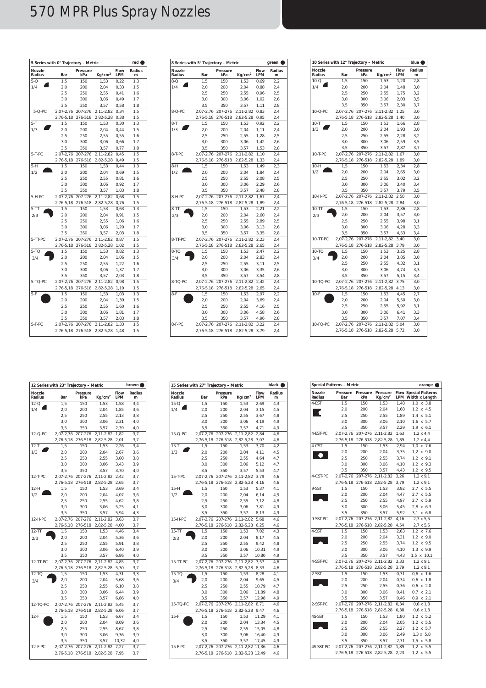## *570 MPR Plus Spray Nozzles*

| 5 Series with 0° Trajectory - Metric | red (             |                 |                                  |             |             |
|--------------------------------------|-------------------|-----------------|----------------------------------|-------------|-------------|
| Nozzle<br>Radius                     | Bar               | Pressure<br>kPa | Kq/cm <sup>2</sup>               | Flow<br>LPM | Radius<br>m |
| $5-Q$                                | 1.5               | 150             | 1.53                             | 0,22        | 1.3         |
| 1/4                                  | 2,0               | 200             | 2,04                             | 0,33        | 1,5         |
|                                      | 2,5               | 250             | 2,55                             | 0,41        | 1,6         |
|                                      | 3,0               | 300             | 3,06                             | 0,49        | 1,7         |
|                                      | 3,5               | 350             | 3,57                             | 0,58        | 1,8         |
| $5-Q-PC$                             | 2,07-2,76 207-276 |                 | 2,11-2,82 0,34                   |             | 1,5         |
|                                      | 2,76-5,18 276-518 |                 | 2,82-5,28 0,38                   |             | 1,5         |
| $5 - T$                              | 1,5               | 150             | 1,53                             | 0,30        | 1,3         |
| 1/3                                  | 2,0               | 200             | 2,04                             | 0,44        | 1,5         |
|                                      | 2,5               | 250             | 2,55                             | 0,55        | 1,6         |
|                                      | 3,0               | 300             | 3,06                             | 0,66        | 1,7         |
|                                      | 3,5               | 350             | 3,57                             | 0,77        | 1,8         |
| 5-T-PC                               | 2.07-2.76         | 207-276         | 2,11-2,82                        | 0,45        | 1,5         |
|                                      | 2,76-5,18 276-518 |                 | 2,82-5,28 0,49                   |             | 1,5         |
| $5-H$                                | 1,5               | 150             | 1,53                             | 0,44        | 1,3         |
| 1/2                                  | 2,0               | 200             | 2,04                             | 0,69        | 1,5         |
|                                      | 2.5               | 250             | 2.55                             | 0,81        | 1,6         |
|                                      | 3,0               | 300             | 3,06                             | 0,92        | 1,7         |
|                                      | 3,5               | 350             | 3,57                             | 1,03        | 1,8         |
| 5-H-PC                               | 2,07-2,76 207-276 |                 | 2,11-2,82 0,68                   |             | 1,5         |
|                                      | 2,76-5,18         | 276-518         | 2,82-5,28 0,76                   |             | 1,5         |
| $5-TT$                               | 1.5               | 150             | 1,53                             | 0,63        | 1,3         |
| 2/3                                  | 2,0               | 200             | 2,04                             | 0,91        | 1,5         |
|                                      | 2,5               | 250             | 2,55                             | 1,06        | 1,6         |
|                                      | 3,0               | 300             | 3,06                             | 1,20        | 1,7         |
|                                      | 3.5               | 350             | 3.57                             | 2,03        | 1,8         |
| 5-TT-PC                              | 2,07-2,76         | 207-276         | 2,11-2,82 0,87                   |             | 1,5         |
|                                      | 2,76-5,18 276-518 |                 | 2,82-5,28                        | 1,02        | 1,5         |
| $5-TQ$                               | 1.5               | 150             | 1,53                             | 0,82        | 1,3         |
| 3/4                                  | 2,0               | 200             | 2,04                             | 1,06        | 1,5         |
|                                      | 2,5               | 250             | 2,55                             | 1,22        | 1,6         |
|                                      | 3,0               | 300             | 3,06                             | 1,37        | 1,7         |
|                                      | 3,5               | 350             | 3,57                             | 2,03        | 1,8         |
| 5-TQ-PC                              | 2,07-2,76         | 207-276         | 2,11-2,82                        | 0,98        | 1,5         |
|                                      | 2,76-5,18 276-518 |                 | 2,82-5,28                        | 1,10        | 1.5         |
| $5-F$                                | 1,5               | 150             | 1,53                             | 1,03        | 1,3         |
|                                      | 2,0               | 200             | 2,04                             | 1,39        | 1,5         |
|                                      | 2,5               | 250             | 2,55                             | 1,60        | 1,6         |
|                                      | 3,0               | 300             | 3,06                             | 1,81        | 1,7         |
|                                      | 3,5               | 350             | 3,57                             | 2,03        | 1,8         |
| 5-F-PC                               |                   |                 | 2,07-2,76 207-276 2,11-2,82 1,33 |             | 1,5         |
|                                      |                   |                 | 2,76-5,18 276-518 2,82-5,28 1,48 |             | 1,5         |
|                                      |                   |                 |                                  |             |             |

| red (      |                  | 8 Series with 5° Trajectory - Metric |                 |                                  |             | green       | 10 Series with 12° Trajectory - Metric |                   |                   |                                  |             | blue           |
|------------|------------------|--------------------------------------|-----------------|----------------------------------|-------------|-------------|----------------------------------------|-------------------|-------------------|----------------------------------|-------------|----------------|
| adius<br>m | Nozzle<br>Radius | Bar                                  | Pressure<br>kPa | Kq/cm <sup>2</sup>               | Flow<br>LPM | Radius<br>m | Nozzle<br>Radius                       | Bar               | Pressure<br>kPa   | Kg/cm <sup>2</sup>               | Flow<br>LPM | Radi<br>m      |
| 1,3        | $8 - Q$          | 1,5                                  | 150             | 1,53                             | 0,69        | 2,2         | $10-Q$                                 | 1,5               | 150               | 1,53                             | 1,20        | 2,8            |
| 1,5        | 1/4              | 2,0                                  | 200             | 2,04                             | 0,88        | 2,4         | 1/4                                    | 2,0               | 200               | 2,04                             | 1,48        | 3,0            |
| 1,6        |                  | 2,5                                  | 250             | 2,55                             | 0,96        | 2,5         |                                        | 2,5               | 250               | 2,55                             | 1,75        | 3,2            |
| 1,7        |                  | 3,0                                  | 300             | 3,06                             | 1,02        | 2,6         |                                        | 3,0               | 300               | 3,06                             | 2,03        | 3,5            |
| 1,8        |                  | 3,5                                  | 350             | 3,57                             | 1,11        | 2,8         |                                        | 3,5               | 350               | 3,57                             | 2,30        | 3,7            |
| 1,5        | 8-Q-PC           | 2,07-2,76                            | 207-276         | 2,11-2,82 0,83                   |             | 2,4         | 10-Q-PC                                |                   | 2,07-2,76 207-276 | 2,11-2,82                        | 1,25        | 3,0            |
| 1,5        |                  |                                      |                 | 2,76-5,18 276-518 2,82-5,28 0,95 |             | 2,4         |                                        |                   |                   | 2,76-5,18 276-518 2,82-5,28      | 1,40        | 3 <sub>c</sub> |
| 1,3        | $8 - T$          | 1,5                                  | 150             | 1,53                             | 0,92        | 2,2         | $10 - T$                               | 1,5               | 150               | 1,53                             | 1,66        | 2,8            |
| 1,5        | 1/3              | 2,0                                  | 200             | 2,04                             | 1,11        | 2,4         | 1/3                                    | 2,0               | 200               | 2,04                             | 1,93        | 3,0            |
| 1,6        |                  | 2,5                                  | 250             | 2,55                             | 1,28        | 2,5         |                                        | 2,5               | 250               | 2,55                             | 2,28        | 3,2            |
| 1,7        |                  | 3,0                                  | 300             | 3,06                             | 1,42        | 2,6         |                                        | 3,0               | 300               | 3,06                             | 2,59        | 3,5            |
| 1,8        |                  | 3,5                                  | 350             | 3,57                             | 1,53        | 2,8         |                                        | 3,5               | 350               | 3,57                             | 2,87        | 3,7            |
| 1,5        | 8-T-PC           | 2,07-2,76 207-276                    |                 | 2,11-2,82                        | 1,10        | 2,4         | 10-T-PC                                |                   |                   | 2,07-2,76 207-276 2,11-2,82      | 1,67        | 3 <sub>c</sub> |
| 1,5        |                  |                                      |                 | 2,76-5,18 276-518 2,82-5,28 1,33 |             | 2,4         |                                        |                   |                   | 2,76-5,18 276-518 2,82-5,28      | 1,89        | 3,C            |
| 1,3        | $8-H$            | 1,5                                  | 150             | 1,53                             | 1,49        | 2,3         | $10-H$                                 | 1,5               | 150               | 1,53                             | 2,34        | 2,8            |
| 1,5        | 1/2              | 2,0                                  | 200             | 2,04                             | 1,84        | 2,4         | 1/2                                    | 2,0               | 200               | 2,04                             | 2,65        | 3,0            |
| 1,6        |                  | 2,5                                  | 250             | 2,55                             | 2,08        | 2,5         |                                        | 2,5               | 250               | 2,55                             | 3,02        | 3,2            |
| 1,7        |                  | 3,0                                  | 300             | 3,06                             | 2,29        | 2,6         |                                        | 3,0               | 300               | 3,06                             | 3,40        | 3,4            |
| 1,8        |                  | 3,5                                  | 350             | 3,57                             | 2,48        | 2,8         |                                        | 3,5               | 350               | 3,57                             | 3,79        | 3,5            |
| 1,5        | 8-H-PC           |                                      |                 | 2,07-2,76 207-276 2,11-2,82 1,67 |             | 2,4         | 10-H-PC                                |                   |                   | 2,07-2,76 207-276 2,11-2,82 2,50 |             | 3,0            |
| 1,5        |                  |                                      |                 | 2,76-5,18 276-518 2,82-5,28 1,89 |             | 2,4         |                                        |                   |                   | 2,76-5,18 276-518 2,82-5,28      | 2,84        | 3,0            |
| 1,3        | $8-TT$           | 1,5                                  | 150             | 1,53                             | 2,21        | 2,2         | $10 - TT$                              | 1,5               | 150               | 1,53                             | 2,86        | 2,8            |
| 1,5        | 2/3              | 2,0                                  | 200             | 2,04                             | 2,60        | 2,4         | 2/3                                    | 2,0               | 200               | 2,04                             | 3,57        | 3,0            |
| 1,6        |                  | 2,5                                  | 250             | 2,55                             | 2,89        | 2,5         |                                        | 2,5               | 250               | 2,55                             | 3,98        | 3,1            |
| 1,7        |                  | 3,0                                  | 300             | 3,06                             | 3,13        | 2,6         |                                        | 3,0               | 300               | 3,06                             | 4,28        | 3,3            |
| 1,8        |                  | 3,5                                  | 350             | 3,57                             | 3,35        | 2,8         |                                        | 3,5               | 350               | 3,57                             | 4,53        | 3,4            |
| 1,5        | 8-TT-PC          | 2,07-2,76 207-276                    |                 | 2,11-2,82 2,23                   |             | 2,4         | 10-TT-PC                               |                   |                   | 2,07-2,76 207-276 2,11-2,82      | 3,40        | 3,0            |
| 1,5        |                  |                                      |                 | 2,76-5,18 276-518 2,82-5,28 2,65 |             | 2,4         |                                        |                   |                   | 2,76-5,18 276-518 2,82-5,28      | 3,79        | 3,0            |
| 1,3        | 8-TQ             | 1,5                                  | 150             | 1,53                             | 2,47        | 2,2         | $10 - TQ$                              | 1,5               | 150               | 1,53                             | 3,25        | 2,8            |
| 1,5        | 3/4              | 2,0                                  | 200             | 2,04                             | 2,83        | 2,4         | 3/4                                    | 2,0               | 200               | 2,04                             | 3,85        | 3,0            |
| 1,6        |                  | 2,5                                  | 250             | 2,55                             | 3,11        | 2,5         |                                        | 2,5               | 250               | 2,55                             | 4,32        | 3,1            |
| 1,7        |                  | 3,0                                  | 300             | 3,06                             | 3,35        | 2,6         |                                        | 3,0               | 300               | 3,06                             | 4,74        | 3,3            |
| 1,8        |                  | 3,5                                  | 350             | 3,57                             | 3,54        | 2,8         |                                        | 3,5               | 350               | 3,57                             | 5,15        | 3,4            |
| 1,5        | 8-TQ-PC          | 2,07-2,76 207-276                    |                 | 2,11-2,82                        | 2,42        | 2,4         | 10-TQ-PC                               | 2,07-2,76 207-276 |                   | 2,11-2,82                        | 3,75        | 3 <sub>c</sub> |
| 1,5        |                  | 2,76-5,18 276-518                    |                 | 2,82-5,28 2,65                   |             | 2,4         |                                        |                   |                   | 2,76-5,18 276-518 2,82-5,28      | 4,13        | 3,0            |
| 1,3        | $8-F$            | 1,5                                  | 150             | 1,53                             | 2,97        | 2,2         | $10-F$                                 | 1,5               | 150               | 1,53                             | 4,45        | 2,7            |
| 1,5        |                  | 2,0                                  | 200             | 2,04                             | 3,69        | 2,4         |                                        | 2,0               | 200               | 2,04                             | 5,50        | 3,0            |
| 1,6        |                  | 2,5                                  | 250             | 2,55                             | 4,16        | 2,5         |                                        | 2,5               | 250               | 2,55                             | 5,92        | 3,1            |
| 1,7        |                  | 3,0                                  | 300             | 3,06                             | 4,58        | 2,6         |                                        | 3,0               | 300               | 3,06                             | 6,41        | 3,3            |
| 1,8        |                  | 3,5                                  | 350             | 3,57                             | 4,96        | 2,8         |                                        | 3,5               | 350               | 3,57                             | 7,07        | 3,4            |
| 1,5        | 8-F-PC           | 2,07-2,76 207-276                    |                 | 2,11-2,82                        | 3,22        | 2,4         | 10-FQ-PC                               |                   |                   | 2,07-2,76 207-276 2,11-2,82      | 5,04        | 3 <sub>c</sub> |
| 1,5        |                  |                                      |                 | 2,76-5,18 276-518 2,82-5,28 3,79 |             | 2,4         |                                        |                   |                   | 2,76-5,18 276-518 2,82-5,28 5,72 |             | 3 <sub>c</sub> |

| 10 Series with 12° Trajectory - Metric |                   |                 |                    |             |             |  |  |
|----------------------------------------|-------------------|-----------------|--------------------|-------------|-------------|--|--|
| Nozzle<br>Radius                       | Bar               | Pressure<br>kPa | Kq/cm <sup>2</sup> | Flow<br>LPM | Radius<br>m |  |  |
| $10-o$                                 | 1,5               | 150             | 1,53               | 1,20        | 2,8         |  |  |
| 1/4                                    | 2,0               | 200             | 2,04               | 1,48        | 3,0         |  |  |
|                                        | 2,5               | 250             | 2.55               | 1.75        | 3,2         |  |  |
|                                        | 3,0               | 300             | 3.06               | 2.03        | 3,5         |  |  |
|                                        | 3,5               | 350             | 3,57               | 2,30        | 3,7         |  |  |
| 10-Q-PC                                | 2,07-2,76         | 207-276         | 2,11-2,82          | 1.25        | 3.0         |  |  |
|                                        | 2,76-5,18         | 276-518         | 2,82-5,28          | 1,40        | 3,0         |  |  |
| $10 - T$                               | 1,5               | 150             | 1,53               | 1,66        | 2,8         |  |  |
| 1/3                                    | 2,0               | 200             | 2,04               | 1,93        | 3,0         |  |  |
|                                        | 2,5               | 250             | 2,55               | 2,28        | 3,2         |  |  |
|                                        | 3,0               | 300             | 3,06               | 2,59        | 3,5         |  |  |
|                                        | 3,5               | 350             | 3,57               | 2,87        | 3,7         |  |  |
| $10 - T - PC$                          | 2,07-2,76 207-276 |                 | 2,11-2,82          | 1,67        | 3,0         |  |  |
|                                        | 2,76-5,18         | 276-518         | 2,82-5,28          | 1,89        | 3,0         |  |  |
| $10-H$                                 | 1,5               | 150             | 1,53               | 2,34        | 2,8         |  |  |
| 1/2                                    | 2,0               | 200             | 2,04               | 2,65        | 3,0         |  |  |
|                                        | 2,5               | 250             | 2,55               | 3,02        | 3,2         |  |  |
|                                        | 3,0               | 300             | 3.06               | 3,40        | 3,4         |  |  |
|                                        | 3,5               | 350             | 3,57               | 3,79        | 3,5         |  |  |
| 10-H-PC                                | 2.07-2.76         | 207-276         | 2,11-2,82          | 2,50        | 3,0         |  |  |
|                                        | 2,76-5,18         | 276-518         | 2,82-5,28          | 2,84        | 3,0         |  |  |
| $10 - TT$                              | 1.5               | 150             | 1.53               | 2.86        | 2,8         |  |  |
| 2/3                                    | 2,0               | 200             | 2,04               | 3,57        | 3,0         |  |  |
|                                        | 2,5               | 250             | 2,55               | 3,98        | 3,1         |  |  |
|                                        | 3.0               | 300             | 3.06               | 4,28        | 3,3         |  |  |
|                                        | 3,5               | 350             | 3,57               | 4,53        | 3,4         |  |  |
| 10-TT-PC                               | 2.07-2.76 207-276 |                 | 2,11-2,82          | 3,40        | 3,0         |  |  |
|                                        | 2,76-5,18         | 276-518         | 2,82-5,28          | 3,79        | 3,0         |  |  |
| 10-TQ                                  | 1,5               | 150             | 1.53               | 3.25        | 2,8         |  |  |
| 3/4                                    | 2.0               | 200             | 2.04               | 3.85        | 3.0         |  |  |
|                                        | 2,5               | 250             | 2,55               | 4,32        | 3,1         |  |  |
|                                        | 3.0               | 300             | 3.06               | 4.74        | 3,3         |  |  |
|                                        | 3,5               | 350             | 3,57               | 5,15        | 3,4         |  |  |
| 10-TQ-PC                               | 2.07-2.76         | 207-276         | 2.11-2.82          | 3.75        | 3.0         |  |  |
|                                        | 2,76-5,18         | 276-518         | 2,82-5,28          | 4,13        | 3,0         |  |  |
| $10-F$                                 | 1,5               | 150             | 1,53               | 4,45        | 2,7         |  |  |
|                                        | 2,0               | 200             | 2.04               | 5.50        | 3,0         |  |  |
|                                        | 2,5               | 250             | 2,55               | 5,92        | 3,1         |  |  |
|                                        | 3,0               | 300             | 3,06               | 6,41        | 3,3         |  |  |
|                                        |                   |                 |                    |             |             |  |  |
|                                        | 3,5               | 350             | 3,57               | 7,07        | 3,4         |  |  |
| 10-FQ-PC                               | 2,07-2,76 207-276 |                 | 2,11-2,82          | 5,04        | 3,0         |  |  |

|                  | 12 Series with 23° Trajectory - Metric |                 |                             |             | brown (     |
|------------------|----------------------------------------|-----------------|-----------------------------|-------------|-------------|
| Nozzle<br>Radius | Bar                                    | Pressure<br>kPa | Ka/cm <sup>2</sup>          | Flow<br>LPM | Radius<br>m |
| $12 - Q$         | 1,5                                    | 150             | 1,53                        | 1,58        | 3,4         |
| 1/4              | 2,0                                    | 200             | 2.04                        | 1,85        | 3,6         |
|                  | 2,5                                    | 250             | 2,55                        | 2,13        | 3,8         |
|                  | 3.0                                    | 300             | 3.06                        | 2,31        | 4,0         |
|                  | 3,5                                    | 350             | 3,57                        | 2,39        | 4.0         |
| 12-Q-PC          | 2.07-2.76                              | 207-276         | 2.11-2.82                   | 1,82        | 3.7         |
|                  | 2,76-5,18                              | 276-518         | 2,82-5,28                   | 2.01        | 3.7         |
| $12 - T$         | 1,5                                    | 150             | 1,53                        | 2,26        | 3,4         |
| 1/3              | 2.0                                    | 200             | 2.04                        | 2,67        | 3,6         |
|                  | 2,5                                    | 250             | 2,55                        | 3,08        | 3,8         |
|                  | 3,0                                    | 300             | 3,06                        | 3,43        | 3,9         |
|                  | 3,5                                    | 350             | 3,57                        | 3,70        | 4,0         |
| 12-T-PC          | 2.07-2.76                              | 207-276         | $2.11 - 2.82$               | 2.42        | 3,7         |
|                  | 2,76-5,18                              | 276-518         | 2,82-5,28                   | 2,65        | 3,7         |
| $12-H$           | 1,5                                    | 150             | 1,53                        | 3,69        | 3,4         |
| 1/2              | 2,0                                    | 200             | 2,04                        | 4,07        | 3,6         |
|                  | 2,5                                    | 250             | 2,55                        | 4,62        | 3,8         |
|                  | 3,0                                    | 300             | 3,06                        | 5.25        | 4,1         |
|                  | 3,5                                    | 350             | 3,57                        | 5,94        | 4,3         |
| 12-H-PC          | 2.07-2.76                              | 207-276         | 2,11-2,82                   | 3,63        | 3,7         |
|                  | 2,76-5,18                              | 276-518         | 2,82-5,28                   | 4,00        | 3,7         |
| $12 - TT$        | 1.5                                    | 150             | 1.53                        | 4.46        | 3,4         |
| 2/3              | 2,0                                    | 200             | 2,04                        | 5,36        | 3,6         |
|                  | 2,5                                    | 250             | 2,55                        | 5,91        | 3,8         |
|                  | 3,0                                    | 300             | 3,06                        | 6,40        | 3,9         |
|                  | 3,5                                    | 350             | 3,57                        | 6,86        | 4,0         |
| 12-TT-PC         | 2.07-2.76                              | 207-276         | 2,11-2,82                   | 4,85        | 3,7         |
|                  | 2,76-5,18                              | 276-518         | 2,82-5,28                   | 5,30        | 3,7         |
| $12 - TO$        | 1,5                                    | 150             | 1,53                        | 4,31        | 3,3         |
| 3/4              | 2,0                                    | 200             | 2,04                        | 5,68        | 3,6         |
|                  | 2.5                                    | 250             | 2.55                        | 6.10        | 3,8         |
|                  | 3,0                                    | 300             | 3,06                        | 6,44        | 3,9         |
|                  | 3,5                                    | 350             | 3,57                        | 6,86        | 4,0         |
| 12-TQ-PC         | 2,07-2,76                              | 207-276         | 2,11-2,82                   | 5,45        | 3,7         |
|                  | 2,76-5,18                              | 276-518         | 2,82-5,28                   | 6,06        | 3,7         |
| $12-F$           | 1,5                                    | 150             | 1,53                        | 6,67        | 3,4         |
|                  | 2,0                                    | 200             | 2,04                        | 8,09        | 3,6         |
|                  | 2,5                                    | 250             | 2.55                        | 8,67        | 3,8         |
|                  | 3,0                                    | 300             | 3,06                        | 9,36        | 3,9         |
|                  | 3,5                                    | 350             | 3,57                        | 10,32       | 4,0         |
| 12-F-PC          | 2,07-2,76                              | 207-276         | 2,11-2,82                   | 7,27        | 3,7         |
|                  |                                        |                 | 2,76-5,18 276-518 2,82-5,28 | 7.95        | 3,7         |
|                  |                                        |                 |                             |             |             |

| 15 Series with 27° Trajectory - Metric |           | black           |                                   |                    |             |
|----------------------------------------|-----------|-----------------|-----------------------------------|--------------------|-------------|
| Nozzle<br>Radius                       | Bar       | Pressure<br>kPa | Kg/cm <sup>2</sup>                | Flow<br><b>LPM</b> | Radius<br>m |
| $15-o$                                 | 1,5       | 150             | 1,53                              | 2,69               | 4,3         |
| 1/4                                    | 2,0       | 200             | 2.04                              | 3,15               | 4,5         |
|                                        | 2,5       | 250             | 2,55                              | 3,67               | 4,8         |
|                                        | 3.0       | 300             | 3.06                              | 4.19               | 4.9         |
|                                        | 3,5       | 350             | 3,57                              | 4,71               | 4,9         |
| 15-Q-PC                                | 2.07-2.76 | 207-276         | $2.11 - 2.82$                     | 2.84               | 4.6         |
|                                        | 2,76-5,18 | 276-518         | 2,82-5,28                         | 3,07               | 4,6         |
| $15 - T$                               | 1.5       | 150             | 1.53                              | 3.70               | 4.2         |
| 1/3                                    | 2,0       | 200             | 2,04                              | 4,11               | 4,5         |
|                                        | 2.5       | 250             | 2.55                              | 4.64               | 4,7         |
|                                        | 3,0       | 300             | 3,06                              | 5,12               | 4,7         |
|                                        | 3,5       | 350             | 3,57                              | 5,53               | 4,7         |
| $15-T-PC$                              | 2,07-2,76 | 207-276         | 2,11-2,82                         | 3,79               | 4,6         |
|                                        | 2,76-5,18 | 276-518         | 2,82-5,28                         | 4,16               | 4,6         |
| $15-H$                                 | 1.5       | 150             | 1.53                              | 5.37               | 4,1         |
| 1/2                                    | 2,0       | 200             | 2,04                              | 6,14               | 4,5         |
|                                        | 2,5       | 250             | 2.55                              | 7.12               | 4,8         |
|                                        | 3,0       | 300             | 3.06                              | 7,81               | 4,9         |
|                                        | 3.5       | 350             | 3,57                              | 8.13               | 4,9         |
| 15-H-PC                                | 2,07-2,76 | 207-276         | 2,11-2,82                         | 5,68               | 4,6         |
|                                        | 2,76-5,18 | 276-518         | 2.82-5.28                         | 6.25               | 4.6         |
| $15 - TT$                              | 1,5       | 150             | 1,53                              | 7,02               | 4,3         |
| 2/3                                    | 2,0       | 200             | 2,04                              | 8,17               | 4,5         |
|                                        | 2.5       | 250             | 2.55                              | 9.42               | 4,8         |
|                                        | 3,0       | 300             | 3,06                              | 10,31              | 4,9         |
|                                        | 3.5       | 350             | 3.57                              | 10,80              | 4,9         |
| 15-TT-PC                               | 2,07-2,76 | 207-276         | 2,11-2,82                         | 7,57               | 4,6         |
|                                        | 2,76-5,18 | 276-518         | 2,82-5,28                         | 8,33               | 4,6         |
| $15 - TQ$                              | 1,5       | 150             | 1,53                              | 8,28               | 4,1         |
| 3/4                                    | 2,0       | 200             | 2,04                              | 9,65               | 4,5         |
|                                        | 2,5       | 250             | 2.55                              | 10,79              | 4,7         |
|                                        | 3,0       | 300             | 3,06                              | 11,89              | 4,8         |
|                                        | 3.5       | 350             | 3,57                              | 12,98              | 4,9         |
| 15-TQ-PC                               | 2,07-2,76 | 207-276         | 2,11-2,82                         | 8,71               | 4,6         |
|                                        | 2,76-5,18 | 276-518         | 2,82-5,28                         | 9,47               | 4.6         |
| $15-F$                                 | 1,5       | 150             | 1,53                              | 11,29              | 4,1         |
|                                        | 2.0       | 200             | 2.04                              | 13.34              | 4.5         |
|                                        | 2,5       | 250             | 2,55                              | 15,05              | 4,8         |
|                                        | 3,0       | 300             | 3,06                              | 16,40              | 4,9         |
|                                        | 3.5       | 350             | 3,57                              | 17,45              | 4,9         |
| 15-F-PC                                | 2,07-2,76 | 207-276         | 2,11-2,82 11,36                   |                    | 4,6         |
|                                        |           |                 | 2,76-5,18 276-518 2,82-5,28 12,49 |                    | 4,6         |

| brown <b>O</b> |                  | 15 Series with 27° Trajectory - Metric |                 |                                   |             | black (     |                  | Special Patterns - Metric   |                 |                                |      | orange (                                           |
|----------------|------------------|----------------------------------------|-----------------|-----------------------------------|-------------|-------------|------------------|-----------------------------|-----------------|--------------------------------|------|----------------------------------------------------|
| Radius<br>m    | Nozzle<br>Radius | Bar                                    | Pressure<br>kPa | Kg/cm <sup>2</sup>                | Flow<br>LPM | Radius<br>m | Nozzle<br>Radius | Pressure<br>Bar             | Pressure<br>kPa | Pressure<br>Kq/cm <sup>2</sup> |      | <b>Flow Special Patterns</b><br>LPM Width x Length |
| 3,4            | $15-o$           | 1,5                                    | 150             | 1.53                              | 2.69        | 4.3         | 4-EST            | 1.5                         | 150             | 1.53                           | 1.48 | $1.0 \times 3.8$                                   |
| 3,6            | 1/4              | 2,0                                    | 200             | 2,04                              | 3,15        | 4,5         |                  | 2,0                         | 200             | 2,04                           | 1,68 | $1,2 \times 4,5$                                   |
| 3,8            |                  | 2,5                                    | 250             | 2.55                              | 3.67        | 4,8         |                  | 2.5                         | 250             | 2,55                           | 1,89 | $1,4 \times 5,1$                                   |
| 4,0            |                  | 3,0                                    | 300             | 3.06                              | 4,19        | 4,9         |                  | 3.0                         | 300             | 3.06                           | 2.10 | $1.6 \times 5.7$                                   |
| 4,0            |                  | 3,5                                    | 350             | 3.57                              | 4,71        | 4,9         |                  | 3.5                         | 350             | 3.57                           | 2.29 | $1,9 \times 6,1$                                   |
| 3,7            | 15-Q-PC          | 2.07-2.76                              | 207-276         | $2.11 - 2.82$                     | 2,84        | 4.6         | 4-EST-PC         | 2.07-2.76 207-276 2.11-2.82 |                 |                                | 1.63 | $1.2 \times 4.4$                                   |
| 3,7            |                  | 2,76-5,18 276-518                      |                 | 2,82-5,28                         | 3,07        | 4,6         |                  | 2,76-5,18 276-518 2,82-5,28 |                 |                                | 1,89 | $1,2 \times 4,4$                                   |
| 3,4            | $15 - T$         | 1,5                                    | 150             | 1,53                              | 3.70        | 4,2         | 4-CST            | 1,5                         | 150             | 1,53                           | 2.94 | $1,0 \times 7,6$                                   |
|                | 1/3              | 2,0                                    | 200             | 2,04                              | 4,11        | 4,5         |                  | 2,0                         | 200             | 2,04                           | 3,35 | $1,2 \times 9,0$                                   |
|                |                  | 2,5                                    | 250             | 2.55                              | 4,64        | 4,7         |                  | 2.5                         | 250             | 2,55                           | 3.74 | $1,2 \times 9,1$                                   |
| 3,9            |                  | 3,0                                    | 300             | 3.06                              | 5,12        | 4,7         |                  | 3.0                         | 300             | 3.06                           | 4.10 | $1.2 \times 9.3$                                   |
|                |                  | 3.5                                    | 350             | 3.57                              | 5.53        | 4.7         |                  | 3,5                         | 350             | 3,57                           | 4,43 | $1,2 \times 9,5$                                   |
|                | 15-T-PC          | 2.07-2.76 207-276                      |                 | 2.11-2.82                         | 3.79        | 4.6         | 4-CST-PC         | $2.07 - 2.76$               | 207-276         | 2,11-2,82                      | 3,26 | $1,2 \times 9,1$                                   |
|                |                  | 2,76-5,18 276-518                      |                 | 2,82-5,28                         | 4,16        | 4,6         |                  | 2,76-5,18 276-518 2,82-5,28 |                 |                                | 3,79 | $1,2 \times 9,1$                                   |
| 3,4            | $15-H$           | 1,5                                    | 150             | 1.53                              | 5,37        | 4,1         | 9-SST            | 1,5                         | 150             | 1,53                           | 3.92 | $2.7 \times 5.5$                                   |
| 3,6            | 1/2              | 2,0                                    | 200             | 2,04                              | 6,14        | 4,5         |                  | 2,0                         | 200             | 2,04                           | 4,47 | $2.7 \times 5.5$                                   |
|                |                  | 2.5                                    | 250             | 2.55                              | 7.12        | 4.8         |                  | 2.5                         | 250             | 2.55                           | 4.97 | $2.7 \times 5.9$                                   |
|                |                  | 3,0                                    | 300             | 3.06                              | 7.81        | 4.9         |                  | 3,0                         | 300             | 3,06                           | 5,45 | $2,8 \times 6,3$                                   |
|                |                  | 3.5                                    | 350             | 3.57                              | 8.13        | 4.9         |                  | 3.5                         | 350             | 3,57                           | 5,92 | $3,1 \times 6,8$                                   |
| 3,7            | 15-H-PC          | 2,07-2,76 207-276                      |                 | 2,11-2,82                         | 5,68        | 4,6         | 9-SST-PC         | 2.07-2.76 207-276 2.11-2.82 |                 |                                | 4.16 | $2.7 \times 5.5$                                   |
|                |                  | 2,76-5,18 276-518                      |                 | 2,82-5,28                         | 6,25        | 4,6         |                  | 2,76-5,18 276-518 2,82-5,28 |                 |                                | 4,54 | $2,7 \times 5,5$                                   |
|                | $15-TT$          | 1,5                                    | 150             | 1,53                              | 7,02        | 4,3         | 4-SST            | 1.5                         | 150             | 1.53                           | 2.63 | $1.2 \times 7.6$                                   |
|                | 2/3              | 2.0                                    | 200             | 2.04                              | 8.17        | 4,5         |                  | 2.0                         | 200             | 2,04                           | 3,31 | $1,2 \times 9,0$                                   |
|                |                  | 2.5                                    | 250             | 2.55                              | 9.42        | 4.8         |                  | 2.5                         | 250             | 2.55                           | 3.74 | $1.2 \times 9.5$                                   |
| 3,9            |                  | 3,0                                    | 300             | 3,06                              | 10,31       | 4,9         |                  | 3,0                         | 300             | 3,06                           | 4,10 | $1,3 \times 9,9$                                   |
|                |                  | 3.5                                    | 350             | 3,57                              | 10.80       | 4,9         |                  | 3.5                         | 350             | 3.57                           | 4,43 | 1,5 x 10,1                                         |
| 3,7            | 15-TT-PC         | 2.07-2.76 207-276                      |                 | $2.11 - 2.82$                     | 7,57        | 4.6         | 4-SST-PC         | 2.07-2.76 207-276 2.11-2.82 |                 |                                | 3.33 | $1,2 \times 9,1$                                   |
| 3,7            |                  | 2,76-5,18 276-518                      |                 | 2,82-5,28                         | 8,33        | 4.6         |                  |                             |                 | 2.76-5.18 276-518 2.82-5.28    | 3.79 | $1,2 \times 9,1$                                   |
| 3,3            | $15 - TO$        | 1,5                                    | 150             | 1.53                              | 8.28        | 4.1         | 2-SST            | 1.5                         | 150             | 1.53                           | 0.31 | $0.6 \times 1.6$                                   |
| 3,6            | 3/4              | 2,0                                    | 200             | 2,04                              | 9,65        | 4,5         |                  | 2,0                         | 200             | 2,04                           | 0,34 | $0,6 \times 1,8$                                   |
|                |                  | 2,5                                    | 250             | 2.55                              | 10,79       | 4,7         |                  | 2,5                         | 250             | 2,55                           | 0,36 | $0,6 \times 2,0$                                   |
| 3,9            |                  | 3.0                                    | 300             | 3.06                              | 11,89       | 4.8         |                  | 3.0                         | 300             | 3,06                           | 0.41 | $0.7 \times 2.1$                                   |
| 4,0            |                  | 3.5                                    | 350             | 3.57                              | 12.98       | 4.9         |                  | 3.5                         | 350             | 3.57                           | 0.46 | $0,9 \times 2,1$                                   |
|                | 15-TO-PC         | 2.07-2.76 207-276                      |                 | 2.11-2.82                         | 8.71        | 4.6         | 2-SST-PC         |                             |                 | 2.07-2.76 207-276 2.11-2.82    | 0.34 | $0,6 \times 1,8$                                   |
|                |                  | 2,76-5,18 276-518                      |                 | 2,82-5,28                         | 9.47        | 4.6         |                  |                             |                 | 2,76-5,18 276-518 2,82-5,28    | 0,38 | $0,6 \times 1,8$                                   |
|                | $15-F$           | 1,5                                    | 150             | 1.53                              | 11.29       | 4.1         | 4S-SST           | 1,5                         | 150             | 1,53                           | 1,80 | $1,2 \times 5,2$                                   |
| 3,6            |                  | 2,0                                    | 200             | 2,04                              | 13,34       | 4,5         |                  | 2.0                         | 200             | 2,04                           | 2,05 | $1,2 \times 5,5$                                   |
| 3,8            |                  | 2,5                                    | 250             | 2.55                              | 15,05       | 4,8         |                  | 2,5                         | 250             | 2,55                           | 2,27 | $1,2 \times 5,7$                                   |
| 3,9            |                  | 3.0                                    | 300             | 3.06                              | 16,40       | 4.9         |                  | 3.0                         | 300             | 3.06                           | 2.49 | $1,3 \times 5,8$                                   |
| 4.0            |                  | 3.5                                    | 350             | 3.57                              | 17.45       | 4.9         |                  | 3.5                         | 350             | 3,57                           | 2.71 | $1,5 \times 5,8$                                   |
| 3,7            | 15-F-PC          | 2.07-2.76 207-276                      |                 | 2.11-2.82 11.36                   |             | 4.6         | 4S-SST-PC        | 2.07-2.76                   | 207-276         | 2.11-2.82                      | 1.89 | $1.2 \times 5.5$                                   |
| 3,7            |                  |                                        |                 | 2,76-5,18 276-518 2,82-5,28 12,49 |             | 4,6         |                  |                             |                 | 2,76-5,18 276-518 2,82-5,28    | 2.23 | $1,2 \times 5,5$                                   |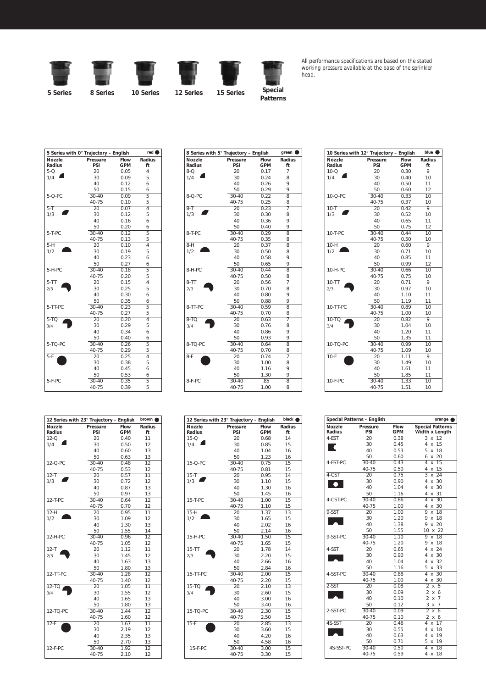











*All performance specifications are based on the stated working pressure available at the base of the sprinkler head.*



**5 Series with 0° Trajectory – English Nozzle Pressure Flow Radius Radius PSI GPM ft** 5-Q 20 0.05 4 1/4 30 0.09 5 40 0.12 6  $\begin{array}{ccc} 0.15 & 6 \\ \hline 0.09 & 5 \\ 0.10 & 5 \end{array}$  $5-Q-PC$   $\frac{50}{30-40}$   $\frac{0.15}{0.09}$ <br>40-75 0.10  $\frac{40-75}{20}$  0.10 5<br>30 0.12 5 5-T 20 0.07 4 1/3 30 0.12 5 10 0.12 5<br>
10 0.16 6<br>
50 0.20 6  $\begin{array}{ccc} 0.20 & 6 \\ 0.12 & 5 \\ 0.13 & 5 \end{array}$  $\frac{50}{30-40}$ <br>5-T-PC  $\frac{30-40}{40-75}$ 40-75 0.12 5<br>
40-75 0.13 5<br>
20 0.10 4<br>
30 0.19 5 5-H 20 0.10 4 1/2 30 0.19 5 40 0.23 6  $\frac{50}{30-40}$  0.27 6<br>40-75 0.20 5  $5-H-PC$   $30-40$ <br> $40-75$ 40-75 0.20 5 5-TT 20 0.15 4  $\frac{10-75}{20}$   $\frac{0.20}{0.15}$   $\frac{3}{4}$ <br>30  $\frac{0.25}{0.30}$  5<br>40  $\frac{0.30}{0.35}$  6 40 0.30<br>50 0.35  $\frac{50}{30-40}$   $\frac{0.35}{0.23}$   $\frac{6}{5}$ <br>40-75 0.27 5 5-TT-PC  $\overline{30-40}$  0.23<br>40-75 0.27 40-75 0.27 5<br>20 0.20 4  $\overline{5-TO}$   $\overline{20}$   $0.20$   $4$ <br> $3/4$   $\overline{30}$   $0.29$   $\overline{5}$  $\begin{array}{cccc} 30 & 0.29 & 5 \\ 40 & 0.34 & 6 \end{array}$ 40 0.34 6 50 0.40 6 5-TQ-PC 30-40 0.26 5<br>40-75 0.29 5  $\overline{5-F}$   $\overline{)40-75}$   $\overline{)0.29}$   $\overline{)5}$ <br> $\overline{30}$   $\overline{)0.38}$   $\overline{)5}$ 40 0.45 6 50 0.53 6 5-F-PC  $\frac{30-40}{30-40}$  0.35 5<br>40-75 0.39 5  $40 - 75$ 2/3 3/4

| 8 Series with 5° Trajectory - English | green           |                    |                |
|---------------------------------------|-----------------|--------------------|----------------|
| <b>Nozzle</b><br>Radius               | Pressure<br>PSI | Flow<br><b>GPM</b> | Radius<br>ft   |
| $8-0$                                 | $\overline{20}$ | 0.17               | 7              |
| 1/4                                   | 30              | 0.24               | 8              |
|                                       | 40              | 0.26               | 9              |
|                                       | 50              | 0.29               | 9              |
| $8-O-PC$                              | $30-40$         | 0.22               | 8              |
|                                       | 40-75           | 0.25               | 8              |
| $8-T$                                 | $\overline{20}$ | 0.23               | 7              |
| 1/3                                   | 30              | 0.30               | 8              |
|                                       | 40              | 0.36               | 9              |
|                                       | 50              | 0.40               | 9              |
| 8-T-PC                                | $30 - 40$       | 0.29               | 8              |
|                                       | 40-75           | 0.35               | 8              |
| $8-H$                                 | 20              | 0.37               | 8              |
| 1/2                                   | 30              | 0.50               | 8              |
|                                       | 40              | 0.58               | 9              |
|                                       | 50              | 0.65               | 9              |
| 8-H-PC                                | $30 - 40$       | 0.44               | 8              |
|                                       | 40-75           | 0.50               | 8              |
| $8-TT$                                | $\overline{2}0$ | 0.56               | 7              |
| 2/3                                   | 30              | 0.70               | 8              |
|                                       | 40              | 0.80               | 9              |
|                                       | 50              | 0.88               | 9              |
| 8-TT-PC                               | $30 - 40$       | 0.59               | 8              |
|                                       | 40-75           | 0.70               | 8              |
| $8-TO$                                | 20              | 0.63               | 7              |
| 3/4                                   | 30              | 0.76               | 8              |
|                                       | 40              | 0.86               | 9              |
|                                       | 50              | 0.93               | 9              |
| 8-TQ-PC                               | $30 - 40$       | 0.64               | $\overline{8}$ |
|                                       | 40-75           | 0.70               | 8              |
| $8-F$                                 | 20              | 0.74               | $\overline{7}$ |
|                                       | 30              | 1.00               | 8              |
|                                       | 40              | 1.16               | 9              |
|                                       | 50              | 1.30               | 9              |
| 8-F-PC                                | $30 - 40$       | .85                | 8              |
|                                       | 40-75           | 1.00               | 8              |

| $red$ $\bullet$ |                         | 8 Series with 5° Trajectory - English |                    | green $\bullet$ |                         | 10 Series with 12° Trajectory - English |                    | blue $\bullet$ |
|-----------------|-------------------------|---------------------------------------|--------------------|-----------------|-------------------------|-----------------------------------------|--------------------|----------------|
| dius<br>ť       | <b>Nozzle</b><br>Radius | Pressure<br>PSI                       | Flow<br><b>GPM</b> | Radius<br>ft    | <b>Nozzle</b><br>Radius | Pressure<br>PSI                         | Flow<br><b>GPM</b> | Radius<br>ft   |
| ī               | $8-Q$                   | $\overline{20}$                       | 0.17               | $\overline{7}$  | $10-o$                  | 20                                      | 0.30               | $\overline{9}$ |
|                 | 1/4                     | 30                                    | 0.24               | 8               | 1/4                     | 30                                      | 0.40               | 10             |
|                 |                         | 40                                    | 0.26               | 9               |                         | 40                                      | 0.50               | 11             |
|                 |                         | 50                                    | 0.29               | 9               |                         | 50                                      | 0.60               | 12             |
|                 | 8-Q-PC                  | $30 - 40$                             | 0.22               | $\overline{8}$  | 10-Q-PC                 | $30 - 40$                               | 0.33               | 10             |
|                 |                         | 40-75                                 | 0.25               | 8               |                         | 40-75                                   | 0.37               | 10             |
|                 | $8-T$                   | $\overline{20}$                       | 0.23               | $\overline{7}$  | $10 - T$                | $\overline{20}$                         | 0.42               | $\overline{9}$ |
|                 | 1/3                     | 30                                    | 0.30               | 8               | 1/3                     | 30                                      | 0.52               | 10             |
|                 |                         | 40                                    | 0.36               | 9               |                         | 40                                      | 0.65               | 11             |
|                 |                         | 50                                    | 0.40               | 9               |                         | 50                                      | 0.75               | 12             |
|                 | 8-T-PC                  | $30 - 40$                             | 0.29               | $\overline{8}$  | 10-T-PC                 | $30 - 40$                               | 0.44               | 10             |
|                 |                         | 40-75                                 | 0.35               | 8               |                         | 40-75                                   | 0.50               | 10             |
|                 | $8-H$                   | $\overline{20}$                       | 0.37               | $\overline{8}$  | $10-H$                  | $\overline{20}$                         | 0.60               | $\overline{9}$ |
|                 | 1/2                     | 30                                    | 0.50               | 8               | 1/2                     | 30                                      | 0.71               | 10             |
|                 |                         | 40                                    | 0.58               | 9               |                         | 40                                      | 0.85               | 11             |
|                 |                         | 50                                    | 0.65               | 9               |                         | 50                                      | 0.99               | 12             |
|                 | 8-H-PC                  | $30 - 40$                             | 0.44               | $\overline{8}$  | 10-H-PC                 | $30 - 40$                               | 0.66               | 10             |
|                 |                         | 40-75                                 | 0.50               | 8               |                         | 40-75                                   | 0.75               | 10             |
|                 | $8-TT$                  | 20                                    | 0.56               | $\overline{7}$  | $10-TT$                 | $\overline{20}$                         | 0.71               | $\overline{9}$ |
|                 | 2/3                     | 30                                    | 0.70               | 8               | 2/3                     | 30                                      | 0.97               | 10             |
|                 |                         | 40                                    | 0.80               | 9               |                         | 40                                      | 1.10               | 11             |
|                 |                         | 50                                    | 0.88               | 9               |                         | 50                                      | 1.19               | 11             |
|                 | 8-TT-PC                 | $30 - 40$                             | 0.59               | $\overline{8}$  | 10-TT-PC                | $30 - 40$                               | 0.89               | 10             |
|                 |                         | 40-75                                 | 0.70               | 8               |                         | 40-75                                   | 1.00               | 10             |
|                 | $8-TQ$                  | 20                                    | 0.63               | $\overline{7}$  | $10 - TQ$               | 20                                      | 0.82               | $\overline{9}$ |
|                 | 3/4                     | 30                                    | 0.76               | 8               | 3/4                     | 30                                      | 1.04               | 10             |
|                 |                         | 40                                    | 0.86               | 9               |                         | 40                                      | 1.20               | 11             |
|                 |                         | 50                                    | 0.93               | 9               |                         | 50                                      | 1.35               | 11             |
|                 | 8-TQ-PC                 | $30 - 40$                             | 0.64               | $\overline{8}$  | 10-TQ-PC                | $30 - 40$                               | 0.99               | 10             |
|                 |                         | 40-75                                 | 0.70               | 8               |                         | 40-75                                   | 1.09               | 10             |
|                 | $8-F$                   | $\overline{20}$                       | 0.74               | $\overline{7}$  | $10-F$                  | $\overline{20}$                         | 1.11               | $\overline{9}$ |
|                 |                         | 30                                    | 1.00               | 8               |                         | 30                                      | 1.49               | 10             |
|                 |                         | 40                                    | 1.16               | 9               |                         | 40                                      | 1.61               | 11             |
|                 |                         | 50                                    | 1.30               | 9               |                         | 50                                      | 1.85               | 11             |
|                 | 8-F-PC                  | $30 - 40$                             | .85                | $\overline{8}$  | 10-F-PC                 | $30 - 40$                               | 1.33               | 10             |
|                 |                         | 40-75                                 | 1.00               | 8               |                         | 40-75                                   | 1.51               | 10             |

| 12 Series with 23° Trajectory - English |                 |                    | brown <b>O</b>  |
|-----------------------------------------|-----------------|--------------------|-----------------|
| Nozzle<br>Radius                        | Pressure<br>PSI | Flow<br><b>GPM</b> | Radius<br>ft    |
| $12 - 0$                                | $\overline{20}$ | 0.40               | $\overline{11}$ |
| 4<br>1/4                                | 30              | 0.50               | 12              |
|                                         | 40              | 0.60               | 13              |
|                                         | 50              | 0.63               | 13              |
| $12-O-PC$                               | $30-40$         | 0.48               | 12              |
|                                         | $40 - 75$       | 0.53               | 12              |
| $12 - T$                                | 20              | 0.57               | 11              |
| 1/3                                     | 30              | 0.72               | 12              |
|                                         | 40              | 0.87               | 13              |
|                                         | 50              | 0.97               | 13              |
| $12-T-PC$                               | $30-40$         | 0.64               | 12              |
|                                         | 40-75           | 0.70               | 12              |
| $12-H$                                  | $\overline{20}$ | 0.95               | 11              |
| 1/2                                     | 30              | 1.09               | 12              |
|                                         | 40              | 1.30               | 13              |
|                                         | 50              | 1.55               | 14              |
| 12-H-PC                                 | $30-40$         | 0.96               | 12              |
|                                         | 40-75           | 1.05               | 12              |
| $12-T$                                  | 20              | 1.12               | 11              |
| 2/3                                     | 30              | 1.45               | 12              |
|                                         | 40              | 1.63               | 13              |
|                                         | 50              | 1.80               | 13              |
| $12-TT-PC$                              | $30-40$         | 1.28               | $\overline{12}$ |
|                                         | 40-75           | 1.40               | 12              |
| $12 - TO$                               | 20              | 1.05               | $\overline{11}$ |
| 3/4                                     | 30              | 1.55               | 12              |
|                                         | 40              | 1.65               | 13              |
|                                         | 50              | 1.80               | 13              |
| 12-TO-PC                                | $30-40$         | 1.44               | 12              |
|                                         | 40-75           | 1.60               | 12              |
| $12-F$                                  | 20              | 1.67               | 11              |
|                                         | 30              | 2.19               | 12              |
|                                         | 40              | 2.35               | 13              |
|                                         | 50              | 2.70               | 13              |
| $12-F-PC$                               | $30 - 40$       | 1.92               | 12              |
|                                         | 40-75           | 2.10               | 12              |

| 12 Series with 23° Trajectory - English |                 |             |                 |  |  |  |  |  |
|-----------------------------------------|-----------------|-------------|-----------------|--|--|--|--|--|
| Nozzle<br>Radius                        | Pressure<br>PSI | Flow<br>GPM |                 |  |  |  |  |  |
| $15-O$                                  | $\overline{20}$ | 0.68        | $\overline{14}$ |  |  |  |  |  |
| 1/4                                     | 30              | 0.85        | 15              |  |  |  |  |  |
|                                         | 40              | 1.04        | 16              |  |  |  |  |  |
|                                         | 50              | 1.23        | 16              |  |  |  |  |  |
| 15-Q-PC                                 | $30-40$         | 0.75        | 15              |  |  |  |  |  |
|                                         | 40-75           | 0.81        | 15              |  |  |  |  |  |
| $15-T$                                  | 20              | 0.95        | 14              |  |  |  |  |  |
| 1/3                                     | 30              | 1.10        | 15              |  |  |  |  |  |
|                                         | 40              | 1.30        | 16              |  |  |  |  |  |
|                                         | 50              | 1.45        | 16              |  |  |  |  |  |
| $15-T-PC$                               | $30-40$         | 1.00        | 15              |  |  |  |  |  |
|                                         | 40-75           | 1.10        | 15              |  |  |  |  |  |
| $15-H$                                  | $\overline{2}0$ | 1.37        | 13              |  |  |  |  |  |
| 1/2                                     | 30              | 1.65        | 15              |  |  |  |  |  |
|                                         | 40              | 2.02        | 16              |  |  |  |  |  |
|                                         | 50              | 2.14        | 16              |  |  |  |  |  |
| 15-H-PC                                 | $30-40$         | 1.50        | 15              |  |  |  |  |  |
|                                         | 40-75           | 1.65        | 15              |  |  |  |  |  |
| $15 - TT$                               | 20              | 1.78        | 14              |  |  |  |  |  |
| 2/3                                     | 30              | 2.20        | 15              |  |  |  |  |  |
|                                         | 40              | 2.66        | 16              |  |  |  |  |  |
|                                         | 50              | 2.84        | 16              |  |  |  |  |  |
| 15-TT-PC                                | $30-40$         | 2.00        | 15              |  |  |  |  |  |
|                                         | 40-75           | 2.20        | 15              |  |  |  |  |  |
| $15-TO$                                 | 20              | 2.10        | $\overline{13}$ |  |  |  |  |  |
| 3/4                                     | 30              | 2.60        | 15              |  |  |  |  |  |
|                                         | 40              | 3.00        | 16              |  |  |  |  |  |
|                                         | 50              | 3.40        | 16              |  |  |  |  |  |
| 15-TO-PC                                | $30-40$         | 2.30        | 15              |  |  |  |  |  |
|                                         | 40-75           | 2.50        | 15              |  |  |  |  |  |
| $15-F$                                  | 20              | 2.85        | $\overline{13}$ |  |  |  |  |  |
|                                         | 30              | 3.60        | 15              |  |  |  |  |  |
|                                         | 40              | 4.20        | 16              |  |  |  |  |  |
|                                         | 50              | 4.58        | 16              |  |  |  |  |  |
| $15-F-PC$                               | $30 - 40$       | 3.00        | 15              |  |  |  |  |  |
|                                         | $40 - 75$       | 3.30        | 15              |  |  |  |  |  |

| brown (         |                  | 12 Series with 23° Trajectory - English |                    | black $\blacksquare$ |                  | Special Patterns - English |                    | orange <b>O</b>                           |
|-----------------|------------------|-----------------------------------------|--------------------|----------------------|------------------|----------------------------|--------------------|-------------------------------------------|
| Radius<br>ft    | Nozzle<br>Radius | Pressure<br>PSI                         | Flow<br><b>GPM</b> | Radius<br>ft         | Nozzle<br>Radius | Pressure<br>PSI            | Flow<br><b>GPM</b> | <b>Special Patterns</b><br>Width x Length |
| $\overline{11}$ | $15-Q$           | $\overline{20}$                         | 0.68               | $\overline{14}$      | 4-EST            | $\overline{20}$            | 0.38               | $3 \times 12$                             |
| 12              | 1/4              | 30                                      | 0.85               | 15                   |                  | 30                         | 0.45               | 4 x 15                                    |
| 13              |                  | 40                                      | 1.04               | 16                   |                  | 40                         | 0.53               | 5 x 18                                    |
| 13              |                  | 50                                      | 1.23               | 16                   |                  | 50                         | 0.60               | 6 x 20                                    |
| $\overline{12}$ | 15-Q-PC          | $30 - 40$                               | 0.75               | $\overline{15}$      | 4-EST-PC         | $30-40$                    | 0.43               | $4 \times 15$                             |
| 12              |                  | 40-75                                   | 0.81               | 15                   |                  | 40-75                      | 0.50               | 4 x 15                                    |
| $\overline{11}$ | $15-T$           | 20                                      | 0.95               | $\overline{14}$      | $4-CST$          | $\overline{20}$            | 0.75               | $3 \times 24$                             |
| 12              | 1/3              | 30                                      | 1.10               | 15                   | ∩                | 30                         | 0.90               | 4 x 30                                    |
| 13              |                  | 40                                      | 1.30               | 16                   |                  | 40                         | 1.04               | 4 x 30                                    |
| 13              |                  | 50                                      | 1.45               | 16                   |                  | 50                         | 1.16               | 4 x 31                                    |
| 12              | 15-T-PC          | $30 - 40$                               | 1.00               | 15                   | 4-CST-PC         | $30 - 40$                  | 0.86               | $4 \times 30$                             |
| 12              |                  | 40-75                                   | 1.10               | 15                   |                  | 40-75                      | 1.00               | 4 x 30                                    |
| 11              | $15-H$           | $\overline{20}$                         | 1.37               | $\overline{13}$      | 9-SST            | $\overline{20}$            | 1.00               | $9 \times 18$                             |
| 12              | 1/2              | 30                                      | 1.65               | 15                   |                  | 30                         | 1.20               | 9 x 18                                    |
| 13              |                  | 40                                      | 2.02               | 16                   |                  | 40                         | 1.38               | $9 \times 20$                             |
| 14              |                  | 50                                      | 2.14               | 16                   |                  | 50                         | 1.55               | 10 x 22                                   |
| $\overline{12}$ | 15-H-PC          | $30 - 40$                               | 1.50               | $\overline{15}$      | 9-SST-PC         | $30 - 40$                  | 1.10               | $9 \times 18$                             |
| 12              |                  | 40-75                                   | 1.65               | 15                   |                  | 40-75                      | 1.20               | 9 x 18                                    |
| 11              | $15-TT$          | $\overline{20}$                         | 1.78               | 14                   | 4-SST            | 20                         | 0.65               | $4 \times 24$                             |
| 12              | 2/3              | 30                                      | 2.20               | 15                   |                  | 30                         | 0.90               | 4 x 30                                    |
| 13              |                  | 40                                      | 2.66               | 16                   |                  | 40                         | 1.04               | 4 x 32                                    |
| 13              |                  | 50                                      | 2.84               | 16                   |                  | 50                         | 1.16               | 5 x 33                                    |
| $\overline{12}$ | 15-TT-PC         | $30 - 40$                               | 2.00               | $\overline{15}$      | 4-SST-PC         | $30 - 40$                  | 0.88               | $4 \times 30$                             |
| 12              |                  | 40-75                                   | 2.20               | 15                   |                  | 40-75                      | 1.00               | 4 x 30                                    |
| $\overline{11}$ | $15 - TQ$        | $\overline{20}$                         | 2.10               | $\overline{13}$      | $2-SST$          | 20                         | 0.08               | $2 \times 5$                              |
| 12              | 3/4              | 30                                      | 2.60               | 15                   |                  | 30                         | 0.09               | 2 x 6                                     |
| 13              |                  | 40                                      | 3.00               | 16                   |                  | 40                         | 0.10               | 2 x 7                                     |
| 13              |                  | 50                                      | 3.40               | 16                   |                  | 50                         | 0.12               | 3 x 7                                     |
| $\overline{12}$ | 15-TQ-PC         | $30 - 40$                               | 2.30               | $\overline{15}$      | 2-SST-PC         | $30 - 40$                  | 0.09               | 2 x 6                                     |
| 12              |                  | 40-75                                   | 2.50               | 15                   |                  | 40-75                      | 0.10               | 2 x 6                                     |
| $\overline{11}$ | $15-F$           | $\overline{20}$                         | 2.85               | $\overline{13}$      | 4S-SST           | $\overline{20}$            | 0.46               | $4 \times 17$                             |
| 12              |                  | 30                                      | 3.60               | 15                   |                  | 30                         | 0.55               | 4 x 18                                    |
| 13              |                  | 40                                      | 4.20               | 16                   |                  | 40                         | 0.63               | 4 x 19                                    |
| 13              |                  | 50                                      | 4.58               | 16                   |                  | 50                         | 0.71               | 5 x 19                                    |
| 12              | 15-F-PC          | $30 - 40$                               | 3.00               | 15                   | 4S-SST-PC        | $30 - 40$                  | 0.50               | $4 \times 18$                             |
| 12              |                  | 40-75                                   | 3.30               | 15                   |                  | 40-75                      | 0.59               | 4 x 18                                    |